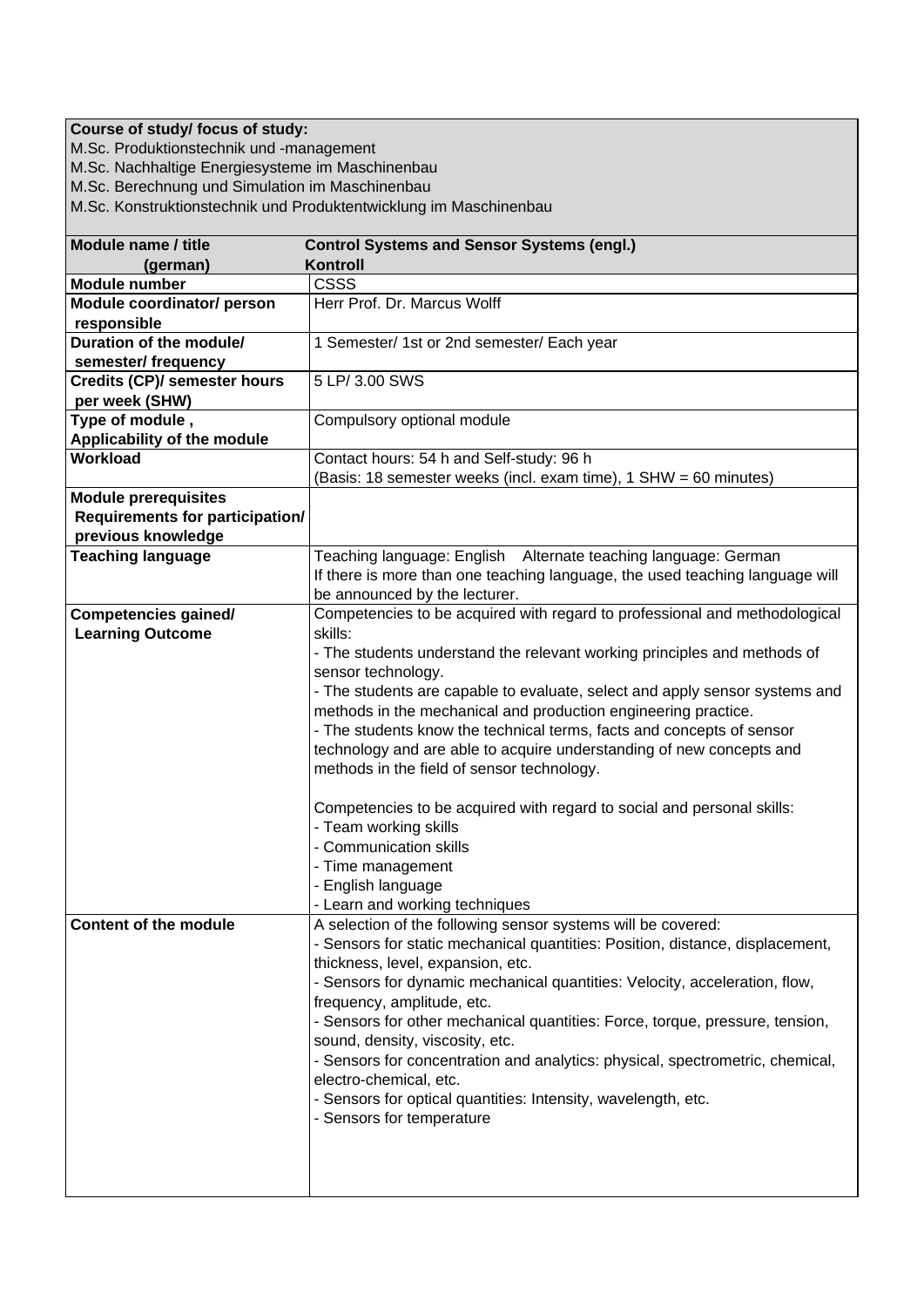## **Course of study/ focus of study:**

M.Sc. Produktionstechnik und -management

M.Sc. Nachhaltige Energiesysteme im Maschinenbau

M.Sc. Berechnung und Simulation im Maschinenbau

M.Sc. Konstruktionstechnik und Produktentwicklung im Maschinenbau

| Module name / title                       | <b>Control Systems and Sensor Systems (engl.)</b>                             |
|-------------------------------------------|-------------------------------------------------------------------------------|
| (german)                                  | Kontroll                                                                      |
| <b>Module number</b>                      | CSSS                                                                          |
| Module coordinator/ person<br>responsible | Herr Prof. Dr. Marcus Wolff                                                   |
| Duration of the module/                   | 1 Semester/ 1st or 2nd semester/ Each year                                    |
| semester/ frequency                       |                                                                               |
| <b>Credits (CP)/ semester hours</b>       | 5 LP/ 3.00 SWS                                                                |
| per week (SHW)                            |                                                                               |
| Type of module,                           | Compulsory optional module                                                    |
| Applicability of the module               |                                                                               |
| Workload                                  | Contact hours: 54 h and Self-study: 96 h                                      |
|                                           | (Basis: 18 semester weeks (incl. exam time), 1 SHW = 60 minutes)              |
| <b>Module prerequisites</b>               |                                                                               |
| <b>Requirements for participation/</b>    |                                                                               |
| previous knowledge                        |                                                                               |
|                                           | Teaching language: English Alternate teaching language: German                |
| <b>Teaching language</b>                  |                                                                               |
|                                           | If there is more than one teaching language, the used teaching language will  |
|                                           | be announced by the lecturer.                                                 |
| <b>Competencies gained/</b>               | Competencies to be acquired with regard to professional and methodological    |
| <b>Learning Outcome</b>                   | skills:                                                                       |
|                                           | - The students understand the relevant working principles and methods of      |
|                                           | sensor technology.                                                            |
|                                           | - The students are capable to evaluate, select and apply sensor systems and   |
|                                           | methods in the mechanical and production engineering practice.                |
|                                           | - The students know the technical terms, facts and concepts of sensor         |
|                                           | technology and are able to acquire understanding of new concepts and          |
|                                           | methods in the field of sensor technology.                                    |
|                                           | Competencies to be acquired with regard to social and personal skills:        |
|                                           | - Team working skills                                                         |
|                                           | - Communication skills                                                        |
|                                           | - Time management                                                             |
|                                           | - English language                                                            |
|                                           | - Learn and working techniques                                                |
| Content of the module                     | A selection of the following sensor systems will be covered:                  |
|                                           | - Sensors for static mechanical quantities: Position, distance, displacement, |
|                                           | thickness, level, expansion, etc.                                             |
|                                           | - Sensors for dynamic mechanical quantities: Velocity, acceleration, flow,    |
|                                           | frequency, amplitude, etc.                                                    |
|                                           | - Sensors for other mechanical quantities: Force, torque, pressure, tension,  |
|                                           | sound, density, viscosity, etc.                                               |
|                                           | - Sensors for concentration and analytics: physical, spectrometric, chemical, |
|                                           | electro-chemical, etc.                                                        |
|                                           | - Sensors for optical quantities: Intensity, wavelength, etc.                 |
|                                           | - Sensors for temperature                                                     |
|                                           |                                                                               |
|                                           |                                                                               |
|                                           |                                                                               |
|                                           |                                                                               |